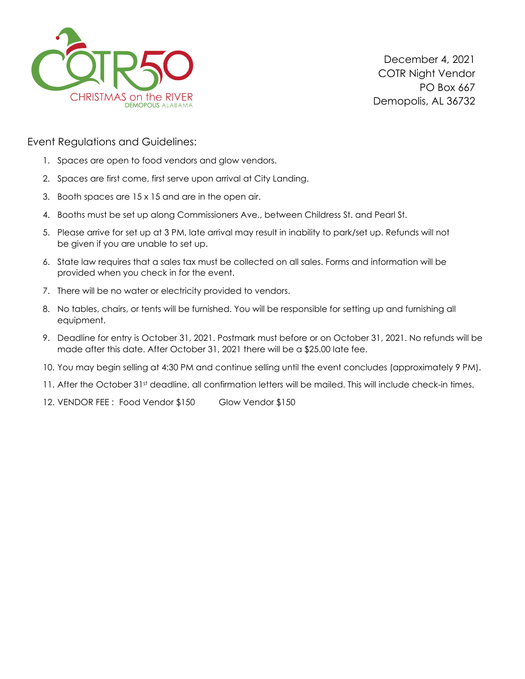

Event Regulations and Guidelines:

- 1. Spaces are open to food vendors and glow vendors.
- 2. Spaces are first come, first serve upon arrival at City Landing.
- 3. Booth spaces are 15 x 15 and are in the open air.
- 4. Booths must be set up along Commissioners Ave., between Childress St. and Pearl St.
- 5. Please arrive for set up at 3 PM, late arrival may result in inability to park/set up. Refunds will not be given if you are unable to set up.
- 6. State law requires that a sales tax must be collected on all sales. Forms and information will be provided when you check in for the event.
- 7. There will be no water or electricity provided to vendors.
- 8. No tables, chairs, or tents will be furnished. You will be responsible for setting up and furnishing all equipment.
- 9. Deadline for entry is October 31, 2021. Postmark must before or on October 31, 2021. No refunds will be made after this date. After October 31, 2021 there will be a \$25.00 late fee.
- 10. You may begin selling at 4:30 PM and continue selling until the event concludes (approximately 9 PM).
- 11. After the October 31st deadline, all confirmation letters will be mailed. This will include check-in times.
- 12. VENDOR FEE: Food Vendor \$150 Glow Vendor \$150